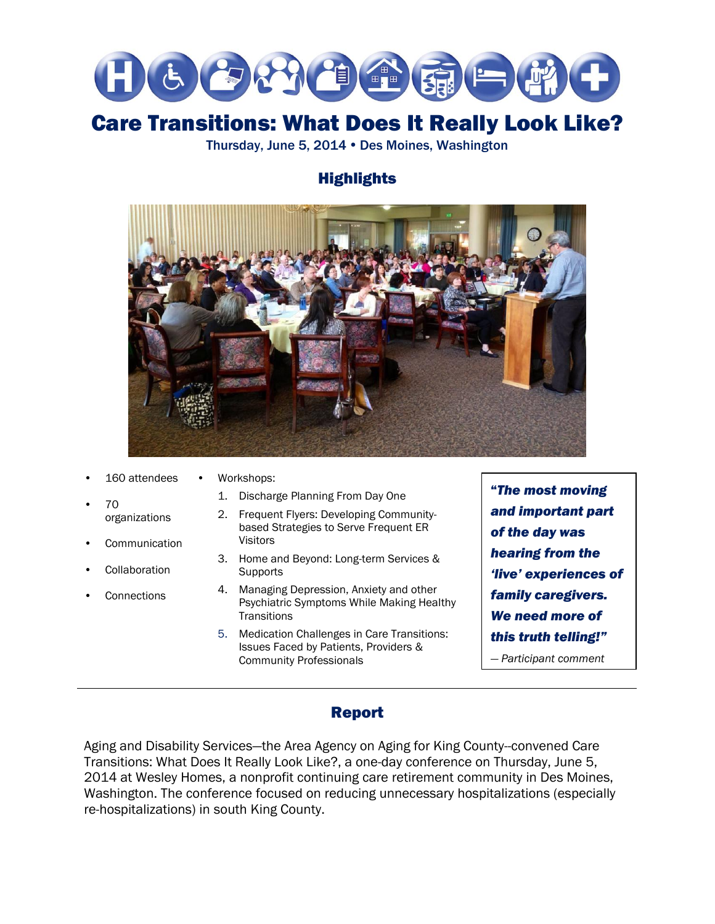

# Care Transitions: What Does It Really Look Like?

Thursday, June 5, 2014 • Des Moines, Washington

## **Highlights**



- 160 attendees
	- Workshops:
- 70 organizations
- **Communication**
- **Collaboration**
- **Connections**
- 1. Discharge Planning From Day One
- 2. Frequent Flyers: Developing Communitybased Strategies to Serve Frequent ER Visitors
- 3. Home and Beyond: Long-term Services & **Supports**
- 4. Managing Depression, Anxiety and other Psychiatric Symptoms While Making Healthy **Transitions**
- 5. Medication Challenges in Care Transitions: Issues Faced by Patients, Providers & Community Professionals

"*The most moving and important part of the day was hearing from the 'live' experiences of family caregivers. We need more of this truth telling!"*

*— Participant comment*

## Report

Aging and Disability Services—the Area Agency on Aging for King County--convened Care Transitions: What Does It Really Look Like?, a one-day conference on Thursday, June 5, 2014 at Wesley Homes, a nonprofit continuing care retirement community in Des Moines, Washington. The conference focused on reducing unnecessary hospitalizations (especially re-hospitalizations) in south King County.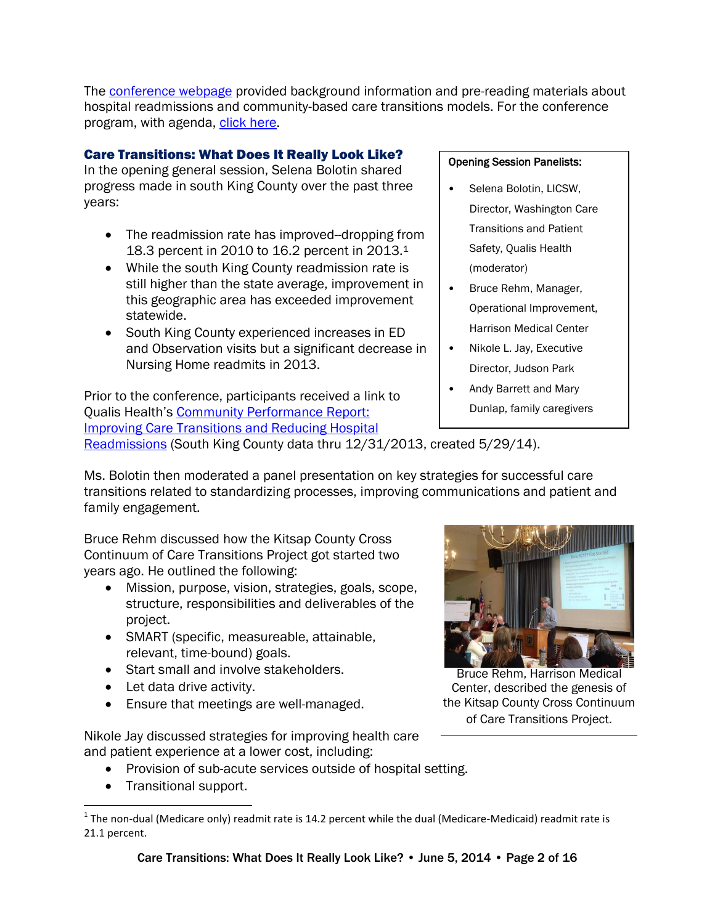The [conference webpage](http://www.agingkingcounty.org/CTconference/) provided background information and pre-reading materials about hospital readmissions and community-based care transitions models. For the conference program, with agenda, [click here.](http://www.agingkingcounty.org/ctconference/conference-program_final.pdf)

### Care Transitions: What Does It Really Look Like?

In the opening general session, Selena Bolotin shared progress made in south King County over the past three years:

- The readmission rate has improved--dropping from 18.3 percent in 2010 to 16.2 percent in 2013.<sup>1</sup>
- While the south King County readmission rate is still higher than the state average, improvement in this geographic area has exceeded improvement statewide.
- South King County experienced increases in ED and Observation visits but a significant decrease in Nursing Home readmits in 2013.

Prior to the conference, participants received a link to Qualis Health's [Community Performance Report:](http://www.agingkingcounty.org/CTconference/Y2013Q4_Comm_SouthKing.pdf)  [Improving Care Transitions and Reducing Hospital](http://www.agingkingcounty.org/CTconference/Y2013Q4_Comm_SouthKing.pdf) 

### [Readmissions](http://www.agingkingcounty.org/CTconference/Y2013Q4_Comm_SouthKing.pdf) (South King County data thru 12/31/2013, created 5/29/14).

#### Ms. Bolotin then moderated a panel presentation on key strategies for successful care transitions related to standardizing processes, improving communications and patient and family engagement.

Bruce Rehm discussed how the Kitsap County Cross Continuum of Care Transitions Project got started two years ago. He outlined the following:

- Mission, purpose, vision, strategies, goals, scope, structure, responsibilities and deliverables of the project.
- SMART (specific, measureable, attainable, relevant, time-bound) goals.
- Start small and involve stakeholders.
- Let data drive activity.
- Ensure that meetings are well-managed.

Nikole Jay discussed strategies for improving health care and patient experience at a lower cost, including:

- Provision of sub-acute services outside of hospital setting.
- Transitional support.

Bruce Rehm, Harrison Medical Center, described the genesis of the Kitsap County Cross Continuum of Care Transitions Project.

#### Opening Session Panelists:

- Selena Bolotin, LICSW, Director, Washington Care Transitions and Patient Safety, Qualis Health (moderator)
- Bruce Rehm, Manager, Operational Improvement, Harrison Medical Center
- Nikole L. Jay, Executive Director, Judson Park
- Andy Barrett and Mary Dunlap, family caregivers

l <sup>1</sup> The non-dual (Medicare only) readmit rate is 14.2 percent while the dual (Medicare-Medicaid) readmit rate is 21.1 percent.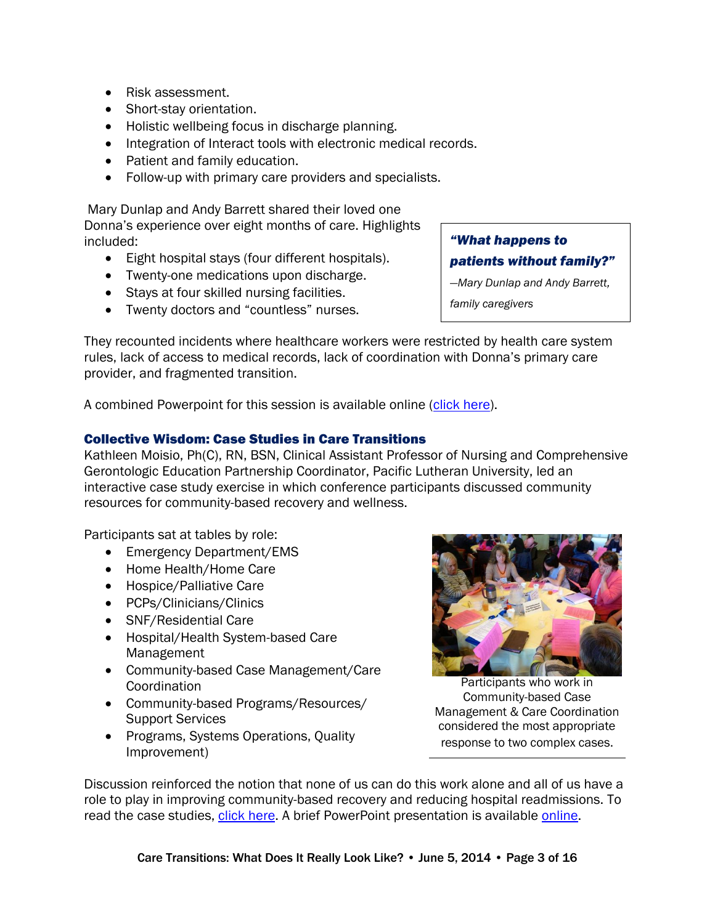- Risk assessment.
- Short-stay orientation.
- Holistic wellbeing focus in discharge planning.
- Integration of Interact tools with electronic medical records.
- Patient and family education.
- Follow-up with primary care providers and specialists.

Mary Dunlap and Andy Barrett shared their loved one Donna's experience over eight months of care. Highlights included:

- Eight hospital stays (four different hospitals).
- Twenty-one medications upon discharge.
- Stays at four skilled nursing facilities.
- Twenty doctors and "countless" nurses.

*patients without family?" —Mary Dunlap and Andy Barrett,* 

*"What happens to* 

*family caregivers*

They recounted incidents where healthcare workers were restricted by health care system rules, lack of access to medical records, lack of coordination with Donna's primary care provider, and fragmented transition.

A combined Powerpoint for this session is available online [\(click here\)](http://www.agingkingcounty.org/ctconference/docs/Care-Transitions-What-Does-It-Really-Look-Like_opening-panel.pdf).

#### Collective Wisdom: Case Studies in Care Transitions

Kathleen Moisio, Ph(C), RN, BSN, Clinical Assistant Professor of Nursing and Comprehensive Gerontologic Education Partnership Coordinator, Pacific Lutheran University, led an interactive case study exercise in which conference participants discussed community resources for community-based recovery and wellness.

Participants sat at tables by role:

- Emergency Department/EMS
- Home Health/Home Care
- Hospice/Palliative Care
- PCPs/Clinicians/Clinics
- SNF/Residential Care
- Hospital/Health System-based Care Management
- Community-based Case Management/Care Coordination
- Community-based Programs/Resources/ Support Services
- Programs, Systems Operations, Quality Improvement)



Participants who work in Community-based Case Management & Care Coordination considered the most appropriate response to two complex cases.

Discussion reinforced the notion that none of us can do this work alone and all of us have a role to play in improving community-based recovery and reducing hospital readmissions. To read the case studies, [click here.](http://www.agingkingcounty.org/CTconference/Case%20Studies_South%20King%20County.pdf) A brief PowerPoint presentation is available [online.](http://www.agingkingcounty.org/ctconference/docs/Collective-Wisdom_general-session.pdf)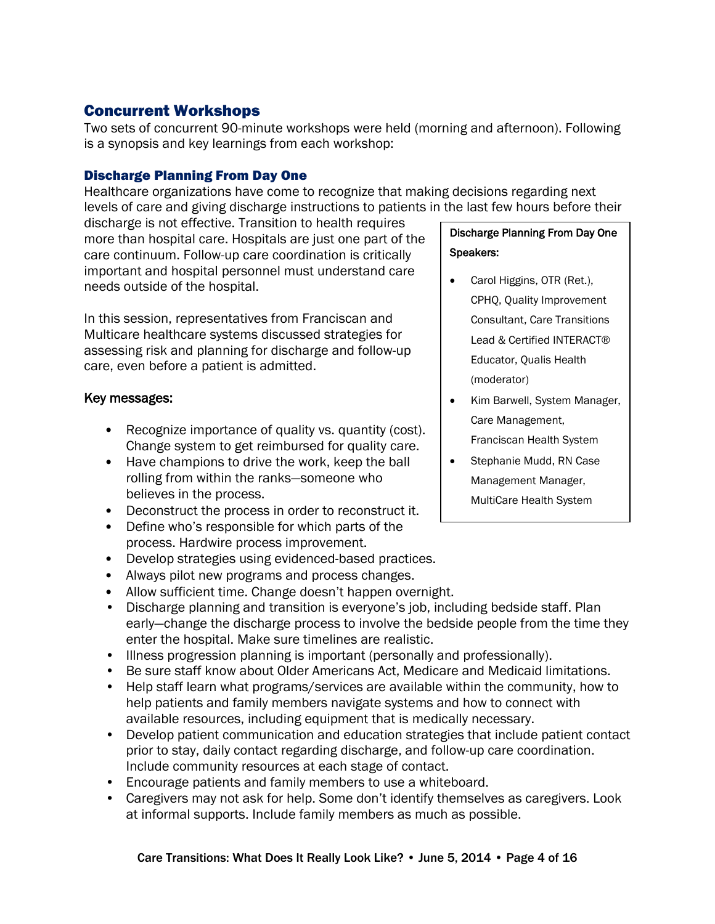## Concurrent Workshops

Two sets of concurrent 90-minute workshops were held (morning and afternoon). Following is a synopsis and key learnings from each workshop:

#### Discharge Planning From Day One

Healthcare organizations have come to recognize that making decisions regarding next levels of care and giving discharge instructions to patients in the last few hours before their

discharge is not effective. Transition to health requires more than hospital care. Hospitals are just one part of the care continuum. Follow-up care coordination is critically important and hospital personnel must understand care needs outside of the hospital.

In this session, representatives from Franciscan and Multicare healthcare systems discussed strategies for assessing risk and planning for discharge and follow-up care, even before a patient is admitted.

#### Key messages:

- Recognize importance of quality vs. quantity (cost). Change system to get reimbursed for quality care.
- Have champions to drive the work, keep the ball rolling from within the ranks—someone who believes in the process.
- Deconstruct the process in order to reconstruct it.
- Define who's responsible for which parts of the process. Hardwire process improvement.
- Develop strategies using evidenced-based practices.
- Always pilot new programs and process changes.
- Allow sufficient time. Change doesn't happen overnight.
- Discharge planning and transition is everyone's job, including bedside staff. Plan early—change the discharge process to involve the bedside people from the time they enter the hospital. Make sure timelines are realistic.
- Illness progression planning is important (personally and professionally).
- Be sure staff know about Older Americans Act, Medicare and Medicaid limitations.
- Help staff learn what programs/services are available within the community, how to help patients and family members navigate systems and how to connect with available resources, including equipment that is medically necessary.
- Develop patient communication and education strategies that include patient contact prior to stay, daily contact regarding discharge, and follow-up care coordination. Include community resources at each stage of contact.
- Encourage patients and family members to use a whiteboard.
- Caregivers may not ask for help. Some don't identify themselves as caregivers. Look at informal supports. Include family members as much as possible.

## Discharge Planning From Day One Speakers:

- Carol Higgins, OTR (Ret.), CPHQ, Quality Improvement Consultant, Care Transitions Lead & Certified INTERACT® Educator, Qualis Health (moderator)
- Kim Barwell, System Manager, Care Management, Franciscan Health System
- Stephanie Mudd, RN Case Management Manager, MultiCare Health System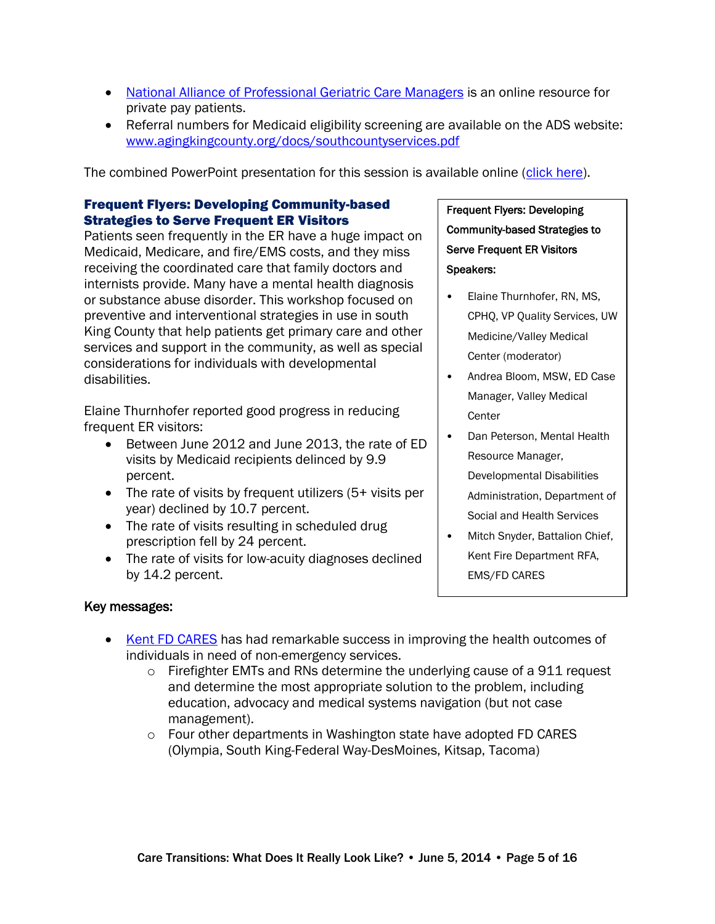- [National Alliance of Professional Geriatric Care Managers](http://www.caremanager.org/) is an online resource for private pay patients.
- Referral numbers for Medicaid eligibility screening are available on the ADS website: [www.agingkingcounty.org/docs/southcountyservices.pdf](http://www.agingkingcounty.org/docs/southcountyservices.pdf)

The combined PowerPoint presentation for this session is available online [\(click here\)](http://www.agingkingcounty.org/CTconference/docs/Discharge-Planning-from-Day-One_workshop.pdf).

#### Frequent Flyers: Developing Community-based Strategies to Serve Frequent ER Visitors

Patients seen frequently in the ER have a huge impact on Medicaid, Medicare, and fire/EMS costs, and they miss receiving the coordinated care that family doctors and internists provide. Many have a mental health diagnosis or substance abuse disorder. This workshop focused on preventive and interventional strategies in use in south King County that help patients get primary care and other services and support in the community, as well as special considerations for individuals with developmental disabilities.

Elaine Thurnhofer reported good progress in reducing frequent ER visitors:

- Between June 2012 and June 2013, the rate of ED visits by Medicaid recipients delinced by 9.9 percent.
- The rate of visits by frequent utilizers (5+ visits per year) declined by 10.7 percent.
- The rate of visits resulting in scheduled drug prescription fell by 24 percent.
- The rate of visits for low-acuity diagnoses declined by 14.2 percent.

## Frequent Flyers: Developing Community-based Strategies to Serve Frequent ER Visitors Speakers:

- Elaine Thurnhofer, RN, MS, CPHQ, VP Quality Services, UW Medicine/Valley Medical Center (moderator)
- Andrea Bloom, MSW, ED Case Manager, Valley Medical **Center**
- Dan Peterson, Mental Health Resource Manager, Developmental Disabilities Administration, Department of Social and Health Services
- Mitch Snyder, Battalion Chief, Kent Fire Department RFA, EMS/FD CARES

#### Key messages:

- [Kent FD](http://fdcares.com/) CARES has had remarkable success in improving the health outcomes of individuals in need of non-emergency services.
	- $\circ$  Firefighter EMTs and RNs determine the underlying cause of a 911 request and determine the most appropriate solution to the problem, including education, advocacy and medical systems navigation (but not case management).
	- o Four other departments in Washington state have adopted FD CARES (Olympia, South King-Federal Way-DesMoines, Kitsap, Tacoma)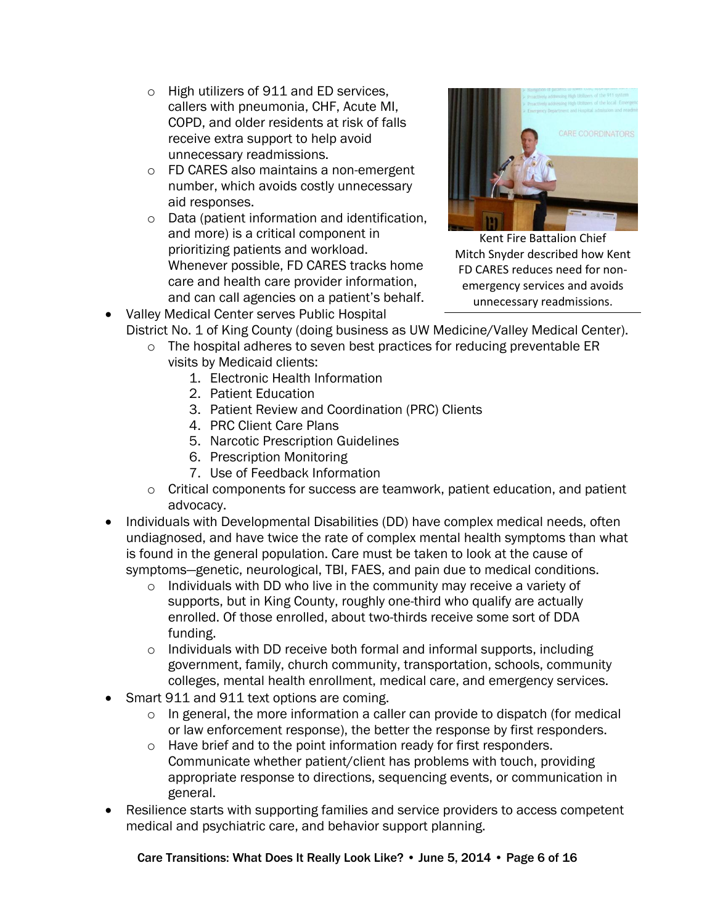- o High utilizers of 911 and ED services, callers with pneumonia, CHF, Acute MI, COPD, and older residents at risk of falls receive extra support to help avoid unnecessary readmissions.
- o FD CARES also maintains a non-emergent number, which avoids costly unnecessary aid responses.
- o Data (patient information and identification, and more) is a critical component in prioritizing patients and workload. Whenever possible, FD CARES tracks home care and health care provider information, and can call agencies on a patient's behalf.



Kent Fire Battalion Chief Mitch Snyder described how Kent FD CARES reduces need for nonemergency services and avoids unnecessary readmissions.

- Valley Medical Center serves Public Hospital District No. 1 of King County (doing business as UW Medicine/Valley Medical Center).
	- o The hospital adheres to seven best practices for reducing preventable ER visits by Medicaid clients:
		- 1. Electronic Health Information
		- 2. Patient Education
		- 3. Patient Review and Coordination (PRC) Clients
		- 4. PRC Client Care Plans
		- 5. Narcotic Prescription Guidelines
		- 6. Prescription Monitoring
		- 7. Use of Feedback Information
	- $\circ$  Critical components for success are teamwork, patient education, and patient advocacy.
- Individuals with Developmental Disabilities (DD) have complex medical needs, often undiagnosed, and have twice the rate of complex mental health symptoms than what is found in the general population. Care must be taken to look at the cause of symptoms—genetic, neurological, TBI, FAES, and pain due to medical conditions.
	- o Individuals with DD who live in the community may receive a variety of supports, but in King County, roughly one-third who qualify are actually enrolled. Of those enrolled, about two-thirds receive some sort of DDA funding.
	- $\circ$  Individuals with DD receive both formal and informal supports, including government, family, church community, transportation, schools, community colleges, mental health enrollment, medical care, and emergency services.
- Smart 911 and 911 text options are coming.
	- o In general, the more information a caller can provide to dispatch (for medical or law enforcement response), the better the response by first responders.
	- o Have brief and to the point information ready for first responders. Communicate whether patient/client has problems with touch, providing appropriate response to directions, sequencing events, or communication in general.
- Resilience starts with supporting families and service providers to access competent medical and psychiatric care, and behavior support planning.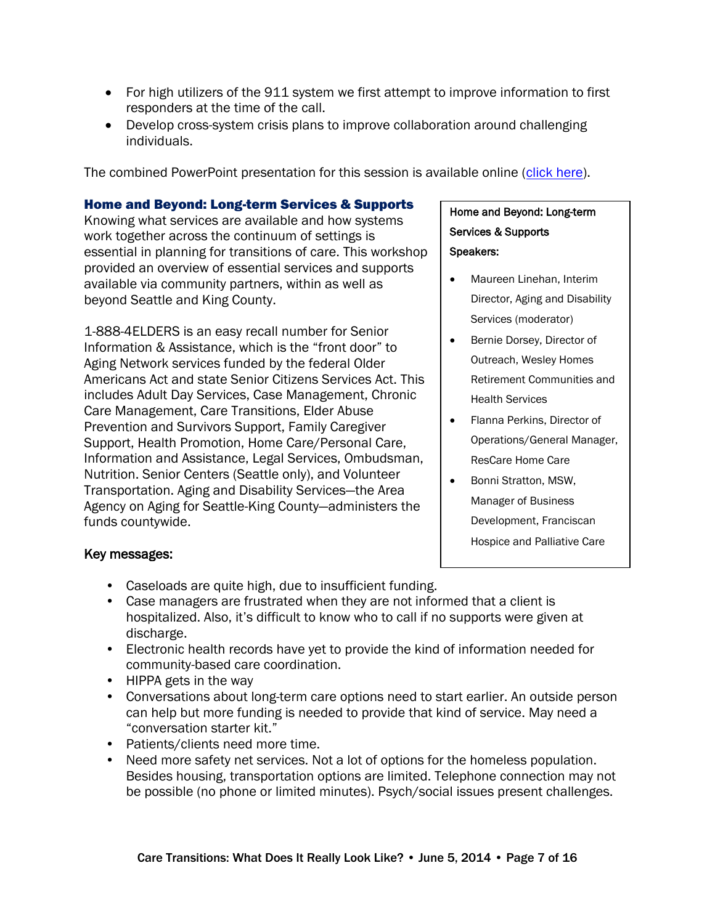- For high utilizers of the 911 system we first attempt to improve information to first responders at the time of the call.
- Develop cross-system crisis plans to improve collaboration around challenging individuals.

The combined PowerPoint presentation for this session is available online [\(click here\)](http://www.agingkingcounty.org/CTconference/docs/Frequent-ER-Flyers_workshop.pdf).

#### Home and Beyond: Long-term Services & Supports

Knowing what services are available and how systems work together across the continuum of settings is essential in planning for transitions of care. This workshop provided an overview of essential services and supports available via community partners, within as well as beyond Seattle and King County.

1-888-4ELDERS is an easy recall number for Senior Information & Assistance, which is the "front door" to Aging Network services funded by the federal Older Americans Act and state Senior Citizens Services Act. This includes Adult Day Services, Case Management, Chronic Care Management, Care Transitions, Elder Abuse Prevention and Survivors Support, Family Caregiver Support, Health Promotion, Home Care/Personal Care, Information and Assistance, Legal Services, Ombudsman, Nutrition. Senior Centers (Seattle only), and Volunteer Transportation. Aging and Disability Services—the Area Agency on Aging for Seattle-King County—administers the funds countywide.

## Home and Beyond: Long-term Services & Supports Speakers:

- Maureen Linehan, Interim Director, Aging and Disability Services (moderator)
- **•** Bernie Dorsey, Director of Outreach, Wesley Homes Retirement Communities and Health Services
- Flanna Perkins, Director of Operations/General Manager, ResCare Home Care
- Bonni Stratton, MSW. Manager of Business Development, Franciscan Hospice and Palliative Care

#### Key messages:

- Caseloads are quite high, due to insufficient funding.
- Case managers are frustrated when they are not informed that a client is hospitalized. Also, it's difficult to know who to call if no supports were given at discharge.
- Electronic health records have yet to provide the kind of information needed for community-based care coordination.
- HIPPA gets in the way
- Conversations about long-term care options need to start earlier. An outside person can help but more funding is needed to provide that kind of service. May need a "conversation starter kit."
- Patients/clients need more time.
- Need more safety net services. Not a lot of options for the homeless population. Besides housing, transportation options are limited. Telephone connection may not be possible (no phone or limited minutes). Psych/social issues present challenges.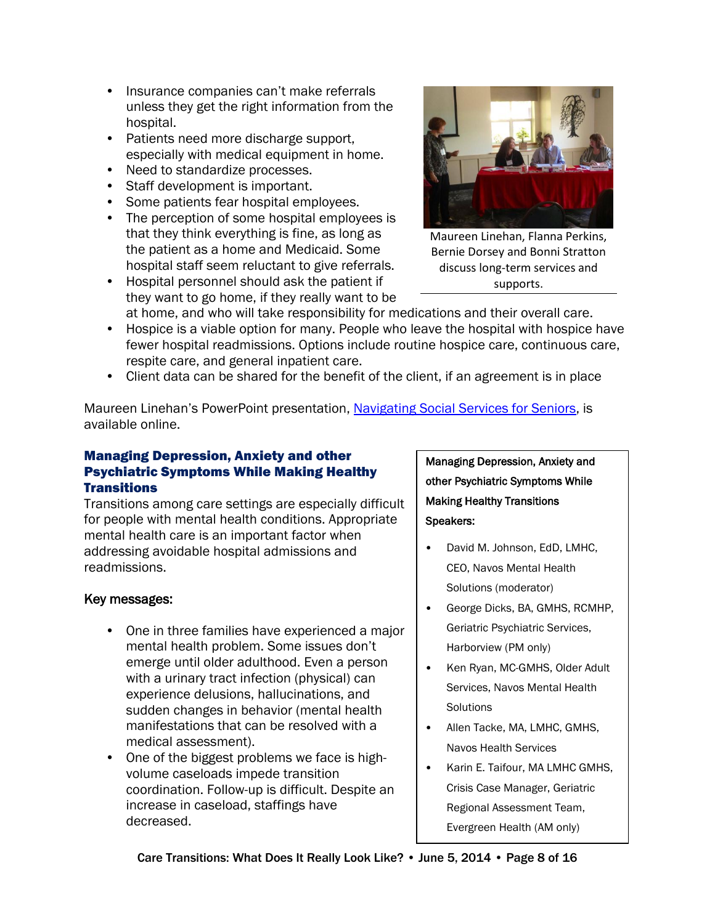- Insurance companies can't make referrals unless they get the right information from the hospital.
- Patients need more discharge support, especially with medical equipment in home.
- Need to standardize processes.
- Staff development is important.
- Some patients fear hospital employees.
- The perception of some hospital employees is that they think everything is fine, as long as the patient as a home and Medicaid. Some hospital staff seem reluctant to give referrals.
- Hospital personnel should ask the patient if they want to go home, if they really want to be



Maureen Linehan, Flanna Perkins, Bernie Dorsey and Bonni Stratton discuss long-term services and supports.

at home, and who will take responsibility for medications and their overall care. • Hospice is a viable option for many. People who leave the hospital with hospice have fewer hospital readmissions. Options include routine hospice care, continuous care, respite care, and general inpatient care.

• Client data can be shared for the benefit of the client, if an agreement is in place

Maureen Linehan's PowerPoint presentation, [Navigating Social Services for Seniors,](http://www.agingkingcounty.org/CTconference/docs/Home-and-Beyond-Long-term-Services-and-Supports_workshop.pdf) is available online.

#### Managing Depression, Anxiety and other Psychiatric Symptoms While Making Healthy **Transitions**

Transitions among care settings are especially difficult for people with mental health conditions. Appropriate mental health care is an important factor when addressing avoidable hospital admissions and readmissions.

#### Key messages:

- One in three families have experienced a major mental health problem. Some issues don't emerge until older adulthood. Even a person with a urinary tract infection (physical) can experience delusions, hallucinations, and sudden changes in behavior (mental health manifestations that can be resolved with a medical assessment).
- One of the biggest problems we face is highvolume caseloads impede transition coordination. Follow-up is difficult. Despite an increase in caseload, staffings have decreased.

Managing Depression, Anxiety and other Psychiatric Symptoms While Making Healthy Transitions Speakers:

- David M. Johnson, EdD, LMHC, CEO, Navos Mental Health Solutions (moderator)
- George Dicks, BA, GMHS, RCMHP, Geriatric Psychiatric Services, Harborview (PM only)
- Ken Ryan, MC-GMHS, Older Adult Services, Navos Mental Health **Solutions**
- Allen Tacke, MA, LMHC, GMHS, Navos Health Services
- Karin E. Taifour, MA LMHC GMHS, Crisis Case Manager, Geriatric Regional Assessment Team, Evergreen Health (AM only)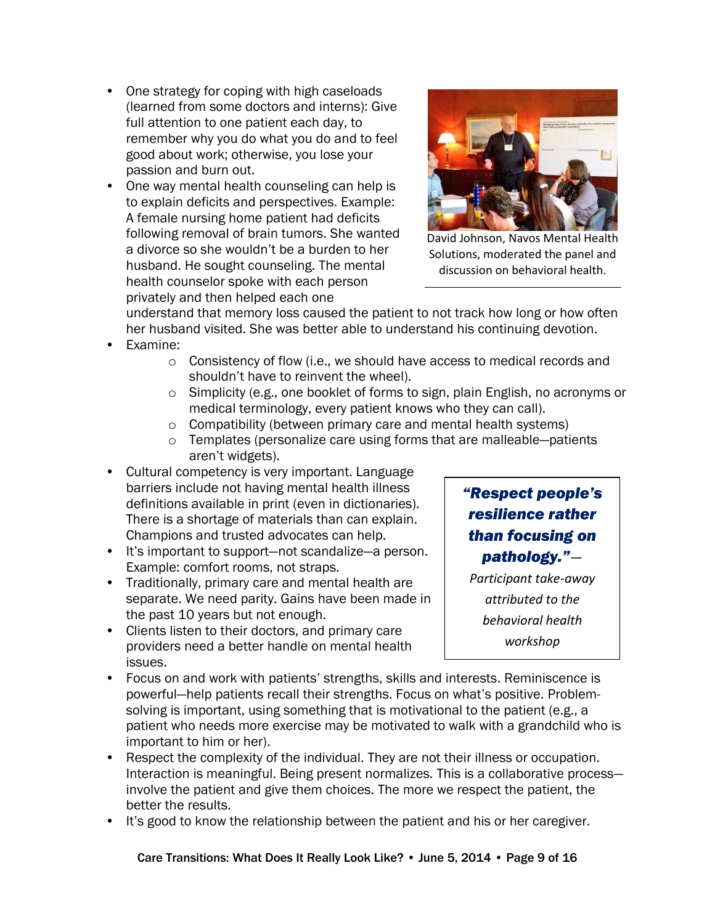- One strategy for coping with high caseloads (learned from some doctors and interns): Give full attention to one patient each day, to remember why you do what you do and to feel good about work; otherwise, you lose your passion and burn out.
- One way mental health counseling can help is to explain deficits and perspectives. Example: A female nursing home patient had deficits following removal of brain tumors. She wanted a divorce so she wouldn't be a burden to her husband. He sought counseling. The mental health counselor spoke with each person privately and then helped each one



David Johnson, Navos Mental Health Solutions, moderated the panel and discussion on behavioral health.

understand that memory loss caused the patient to not track how long or how often her husband visited. She was better able to understand his continuing devotion.

- Examine:
	- o Consistency of flow (i.e., we should have access to medical records and shouldn't have to reinvent the wheel).
	- o Simplicity (e.g., one booklet of forms to sign, plain English, no acronyms or medical terminology, every patient knows who they can call).
	- o Compatibility (between primary care and mental health systems)
	- o Templates (personalize care using forms that are malleable—patients aren't widgets).
- Cultural competency is very important. Language barriers include not having mental health illness definitions available in print (even in dictionaries). There is a shortage of materials than can explain. Champions and trusted advocates can help.
- It's important to support—not scandalize—a person. Example: comfort rooms, not straps.
- Traditionally, primary care and mental health are separate. We need parity. Gains have been made in the past 10 years but not enough.
- Clients listen to their doctors, and primary care providers need a better handle on mental health issues.

*"Respect people's resilience rather than focusing on pathology."—*

*Participant take-away attributed to the behavioral health workshop*

- Focus on and work with patients' strengths, skills and interests. Reminiscence is powerful—help patients recall their strengths. Focus on what's positive. Problemsolving is important, using something that is motivational to the patient (e.g., a patient who needs more exercise may be motivated to walk with a grandchild who is important to him or her).
- Respect the complexity of the individual. They are not their illness or occupation. Interaction is meaningful. Being present normalizes. This is a collaborative process involve the patient and give them choices. The more we respect the patient, the better the results.
- It's good to know the relationship between the patient and his or her caregiver.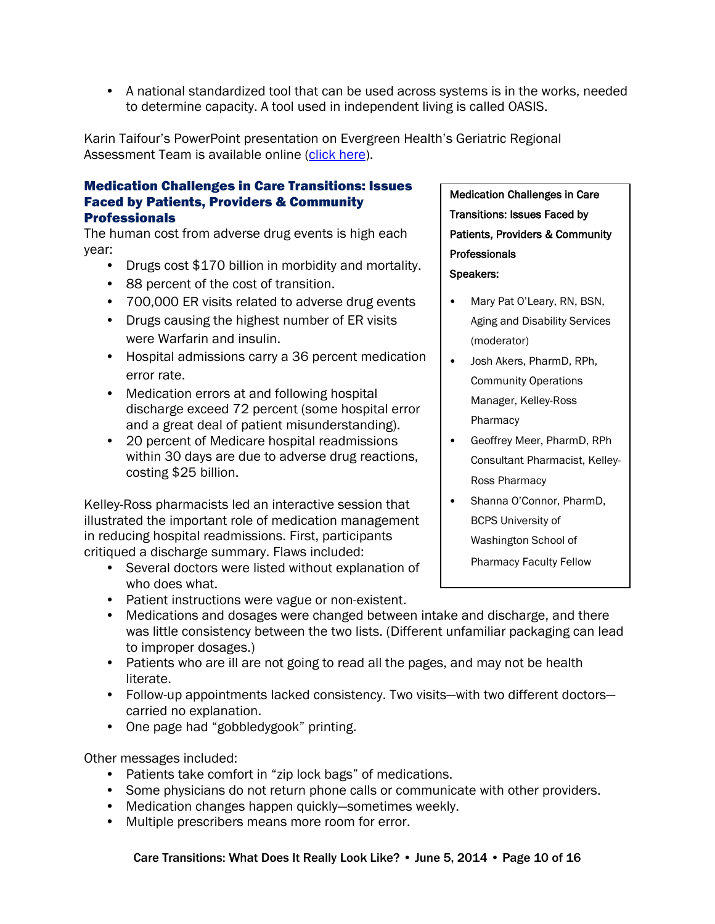• A national standardized tool that can be used across systems is in the works, needed to determine capacity. A tool used in independent living is called OASIS.

Karin Taifour's PowerPoint presentation on Evergreen Health's Geriatric Regional Assessment Team is available online [\(click here\)](http://www.agingkingcounty.org/CTconference/docs/Evergreen-Health-GRAT.pdf).

#### Medication Challenges in Care Transitions: Issues Faced by Patients, Providers & Community **Professionals**

The human cost from adverse drug events is high each year:

- Drugs cost \$170 billion in morbidity and mortality.
- 88 percent of the cost of transition.
- 700,000 ER visits related to adverse drug events
- Drugs causing the highest number of ER visits were Warfarin and insulin.
- Hospital admissions carry a 36 percent medication error rate.
- Medication errors at and following hospital discharge exceed 72 percent (some hospital error and a great deal of patient misunderstanding).
- 20 percent of Medicare hospital readmissions within 30 days are due to adverse drug reactions, costing \$25 billion.

Kelley-Ross pharmacists led an interactive session that illustrated the important role of medication management in reducing hospital readmissions. First, participants critiqued a discharge summary. Flaws included:

- Several doctors were listed without explanation of who does what.
- Patient instructions were vague or non-existent.

### • Medications and dosages were changed between intake and discharge, and there was little consistency between the two lists. (Different unfamiliar packaging can lead to improper dosages.)

- Patients who are ill are not going to read all the pages, and may not be health literate.
- Follow-up appointments lacked consistency. Two visits—with two different doctors carried no explanation.
- One page had "gobbledygook" printing.

Other messages included:

- Patients take comfort in "zip lock bags" of medications.
- Some physicians do not return phone calls or communicate with other providers.
- Medication changes happen quickly—sometimes weekly.
- Multiple prescribers means more room for error.

#### Care Transitions: What Does It Really Look Like? • June 5, 2014 • Page 10 of 16

Medication Challenges in Care Transitions: Issues Faced by Patients, Providers & Community **Professionals** Speakers:

- Mary Pat O'Leary, RN, BSN, Aging and Disability Services (moderator)
- Josh Akers, PharmD, RPh, Community Operations Manager, Kelley-Ross Pharmacy
- Geoffrey Meer, PharmD, RPh Consultant Pharmacist, Kelley-Ross Pharmacy
- Shanna O'Connor, PharmD, BCPS University of Washington School of

Pharmacy Faculty Fellow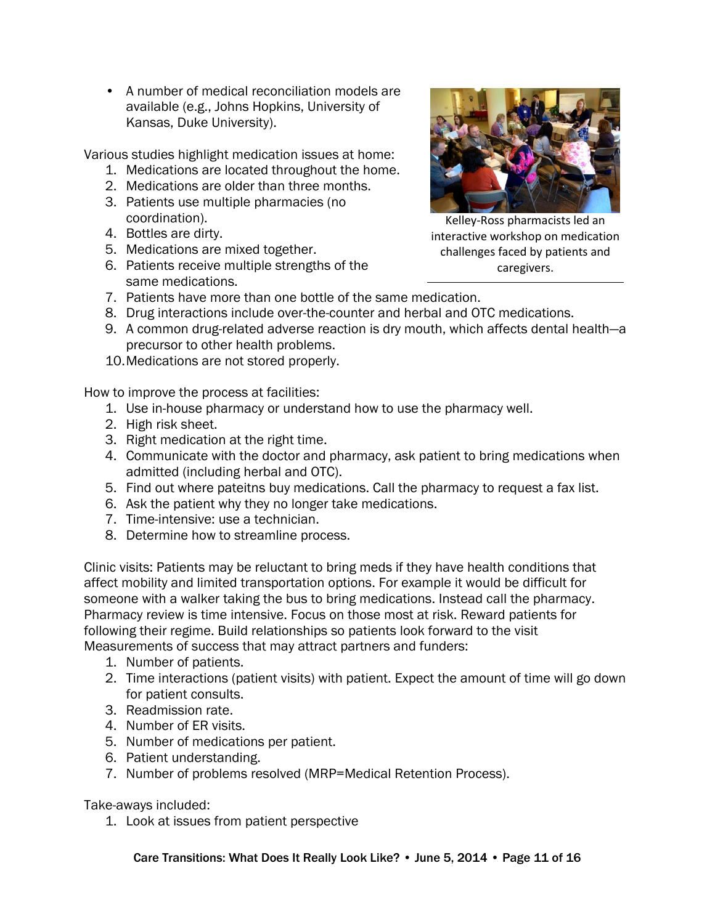• A number of medical reconciliation models are available (e.g., Johns Hopkins, University of Kansas, Duke University).

Various studies highlight medication issues at home:

- 1. Medications are located throughout the home.
- 2. Medications are older than three months.
- 3. Patients use multiple pharmacies (no coordination).
- 4. Bottles are dirty.
- 5. Medications are mixed together.
- 6. Patients receive multiple strengths of the same medications.



Kelley-Ross pharmacists led an interactive workshop on medication challenges faced by patients and caregivers.

- 7. Patients have more than one bottle of the same medication.
- 8. Drug interactions include over-the-counter and herbal and OTC medications.
- 9. A common drug-related adverse reaction is dry mouth, which affects dental health—a precursor to other health problems.
- 10.Medications are not stored properly.

How to improve the process at facilities:

- 1. Use in-house pharmacy or understand how to use the pharmacy well.
- 2. High risk sheet.
- 3. Right medication at the right time.
- 4. Communicate with the doctor and pharmacy, ask patient to bring medications when admitted (including herbal and OTC).
- 5. Find out where pateitns buy medications. Call the pharmacy to request a fax list.
- 6. Ask the patient why they no longer take medications.
- 7. Time-intensive: use a technician.
- 8. Determine how to streamline process.

Clinic visits: Patients may be reluctant to bring meds if they have health conditions that affect mobility and limited transportation options. For example it would be difficult for someone with a walker taking the bus to bring medications. Instead call the pharmacy. Pharmacy review is time intensive. Focus on those most at risk. Reward patients for following their regime. Build relationships so patients look forward to the visit Measurements of success that may attract partners and funders:

- 1. Number of patients.
- 2. Time interactions (patient visits) with patient. Expect the amount of time will go down for patient consults.
- 3. Readmission rate.
- 4. Number of ER visits.
- 5. Number of medications per patient.
- 6. Patient understanding.
- 7. Number of problems resolved (MRP=Medical Retention Process).

Take-aways included:

1. Look at issues from patient perspective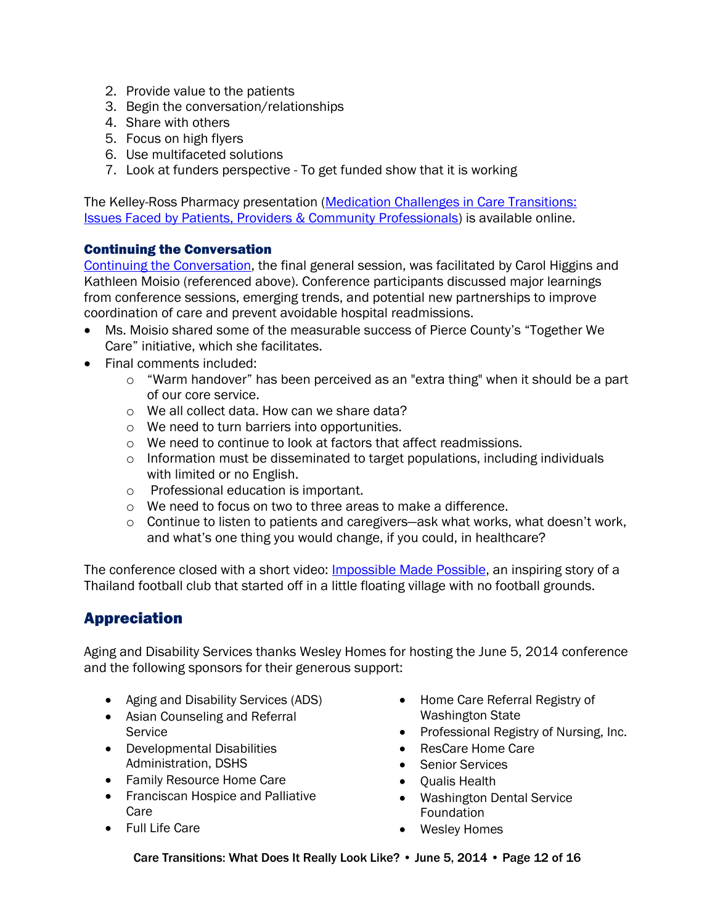- 2. Provide value to the patients
- 3. Begin the conversation/relationships
- 4. Share with others
- 5. Focus on high flyers
- 6. Use multifaceted solutions
- 7. Look at funders perspective To get funded show that it is working

The Kelley-Ross Pharmacy presentation [\(Medication Challenges in Care Transitions:](http://www.agingkingcounty.org/CTconference/docs/Medication-Challenges-in-Care-Transitions_workshop.pdf)  [Issues Faced by Patients, Providers & Community Professionals\)](http://www.agingkingcounty.org/CTconference/docs/Medication-Challenges-in-Care-Transitions_workshop.pdf) is available online.

#### Continuing the Conversation

[Continuing the Conversation,](http://www.agingkingcounty.org/CTconference/docs/Continuing-the-Conversation_general-session.pdf) the final general session, was facilitated by Carol Higgins and Kathleen Moisio (referenced above). Conference participants discussed major learnings from conference sessions, emerging trends, and potential new partnerships to improve coordination of care and prevent avoidable hospital readmissions.

- Ms. Moisio shared some of the measurable success of Pierce County's "Together We Care" initiative, which she facilitates.
- Final comments included:
	- o "Warm handover" has been perceived as an "extra thing" when it should be a part of our core service.
	- o We all collect data. How can we share data?
	- o We need to turn barriers into opportunities.
	- o We need to continue to look at factors that affect readmissions.
	- $\circ$  Information must be disseminated to target populations, including individuals with limited or no English.
	- o Professional education is important.
	- o We need to focus on two to three areas to make a difference.
	- $\circ$  Continue to listen to patients and caregivers—ask what works, what doesn't work, and what's one thing you would change, if you could, in healthcare?

The conference closed with a short video: [Impossible Made Possible,](http://youtu.be/SoTzYPiQ68I) an inspiring story of a Thailand football club that started off in a little floating village with no football grounds.

## Appreciation

Aging and Disability Services thanks Wesley Homes for hosting the June 5, 2014 conference and the following sponsors for their generous support:

- Aging and Disability Services (ADS)
- Asian Counseling and Referral **Service**
- Developmental Disabilities Administration, DSHS
- Family Resource Home Care
- Franciscan Hospice and Palliative Care
- Full Life Care
- Home Care Referral Registry of Washington State
- Professional Registry of Nursing, Inc.
- ResCare Home Care
- Senior Services
- Qualis Health
- Washington Dental Service **Foundation**
- Wesley Homes

Care Transitions: What Does It Really Look Like? • June 5, 2014 • Page 12 of 16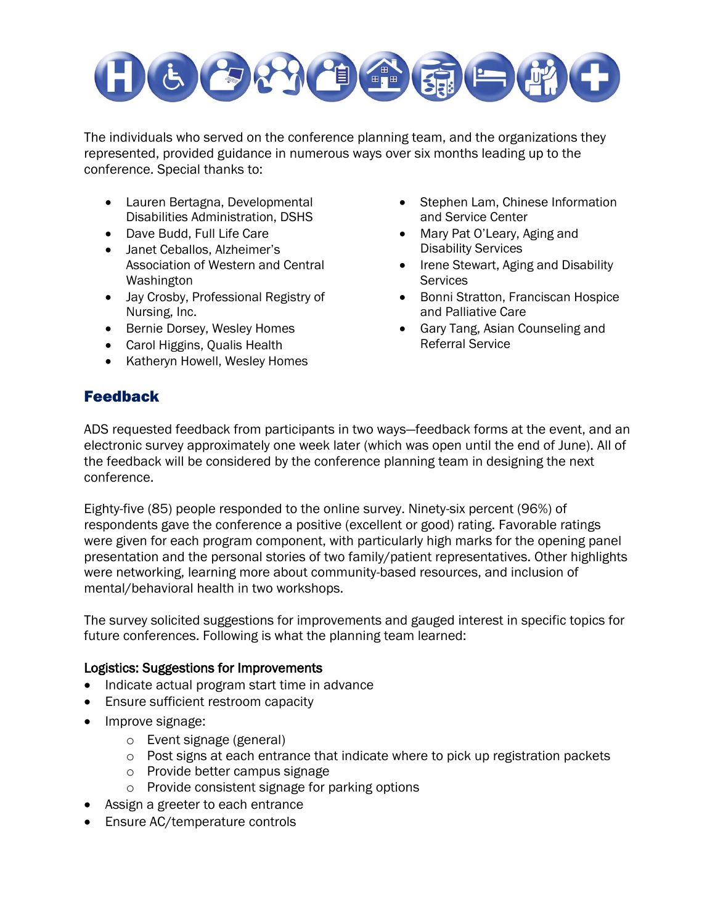

The individuals who served on the conference planning team, and the organizations they represented, provided guidance in numerous ways over six months leading up to the conference. Special thanks to:

- Lauren Bertagna, Developmental Disabilities Administration, DSHS
- Dave Budd, Full Life Care
- Janet Ceballos, Alzheimer's Association of Western and Central Washington
- Jay Crosby, Professional Registry of Nursing, Inc.
- Bernie Dorsey, Wesley Homes
- Carol Higgins, Qualis Health
- Katheryn Howell, Wesley Homes
- Stephen Lam, Chinese Information and Service Center
- Mary Pat O'Leary, Aging and Disability Services
- Irene Stewart, Aging and Disability **Services**
- Bonni Stratton, Franciscan Hospice and Palliative Care
- Gary Tang, Asian Counseling and Referral Service

## Feedback

ADS requested feedback from participants in two ways—feedback forms at the event, and an electronic survey approximately one week later (which was open until the end of June). All of the feedback will be considered by the conference planning team in designing the next conference.

Eighty-five (85) people responded to the online survey. Ninety-six percent (96%) of respondents gave the conference a positive (excellent or good) rating. Favorable ratings were given for each program component, with particularly high marks for the opening panel presentation and the personal stories of two family/patient representatives. Other highlights were networking, learning more about community-based resources, and inclusion of mental/behavioral health in two workshops.

The survey solicited suggestions for improvements and gauged interest in specific topics for future conferences. Following is what the planning team learned:

#### Logistics: Suggestions for Improvements

- Indicate actual program start time in advance
- **Ensure sufficient restroom capacity**
- Improve signage:
	- o Event signage (general)
	- o Post signs at each entrance that indicate where to pick up registration packets
	- o Provide better campus signage
	- o Provide consistent signage for parking options
- Assign a greeter to each entrance
- Ensure AC/temperature controls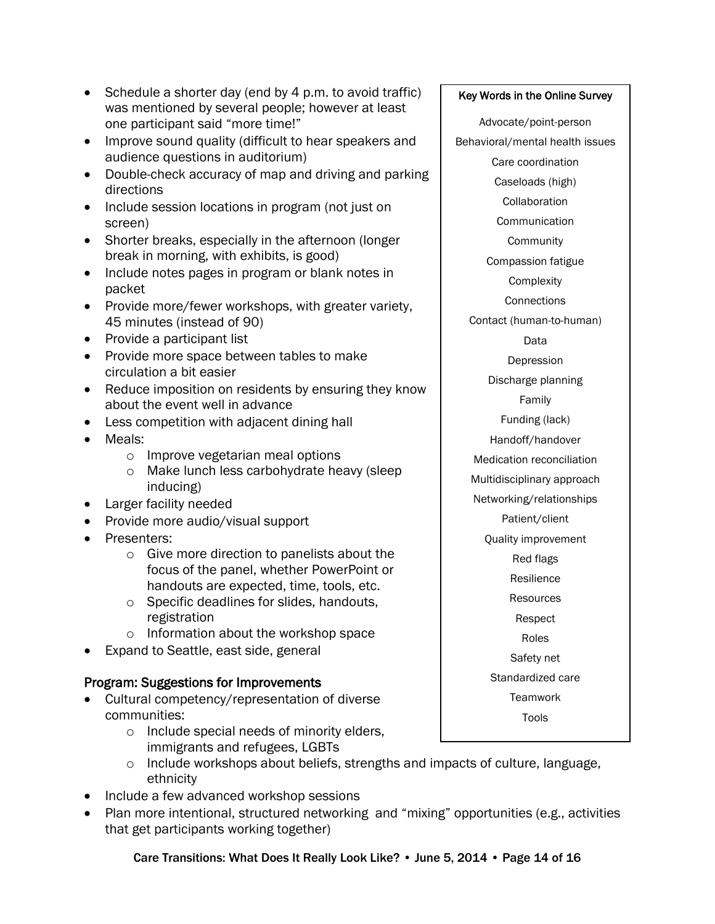- Schedule a shorter day (end by 4 p.m. to avoid traffic) was mentioned by several people; however at least one participant said "more time!"
- Improve sound quality (difficult to hear speakers and audience questions in auditorium)
- Double-check accuracy of map and driving and parking directions
- Include session locations in program (not just on screen)
- Shorter breaks, especially in the afternoon (longer break in morning, with exhibits, is good)
- Include notes pages in program or blank notes in packet
- Provide more/fewer workshops, with greater variety, 45 minutes (instead of 90)
- Provide a participant list
- Provide more space between tables to make circulation a bit easier
- Reduce imposition on residents by ensuring they know about the event well in advance
- Less competition with adjacent dining hall
- Meals:
	- o Improve vegetarian meal options
	- o Make lunch less carbohydrate heavy (sleep inducing)
- Larger facility needed
- Provide more audio/visual support
- Presenters:
	- o Give more direction to panelists about the focus of the panel, whether PowerPoint or handouts are expected, time, tools, etc.
	- o Specific deadlines for slides, handouts, registration
	- o Information about the workshop space
- Expand to Seattle, east side, general

## Program: Suggestions for Improvements

- Cultural competency/representation of diverse communities:
	- o Include special needs of minority elders, immigrants and refugees, LGBTs
	- o Include workshops about beliefs, strengths and impacts of culture, language, ethnicity
- Include a few advanced workshop sessions
- Plan more intentional, structured networking and "mixing" opportunities (e.g., activities that get participants working together)

#### Key Words in the Online Survey

Advocate/point-person Behavioral/mental health issues Care coordination Caseloads (high) **Collaboration Communication** Community Compassion fatigue **Complexity Connections** Contact (human-to-human) Data Depression Discharge planning Family Funding (lack) Handoff/handover Medication reconciliation Multidisciplinary approach Networking/relationships Patient/client Quality improvement Red flags Resilience Resources Respect Roles Safety net Standardized care **Teamwork** Tools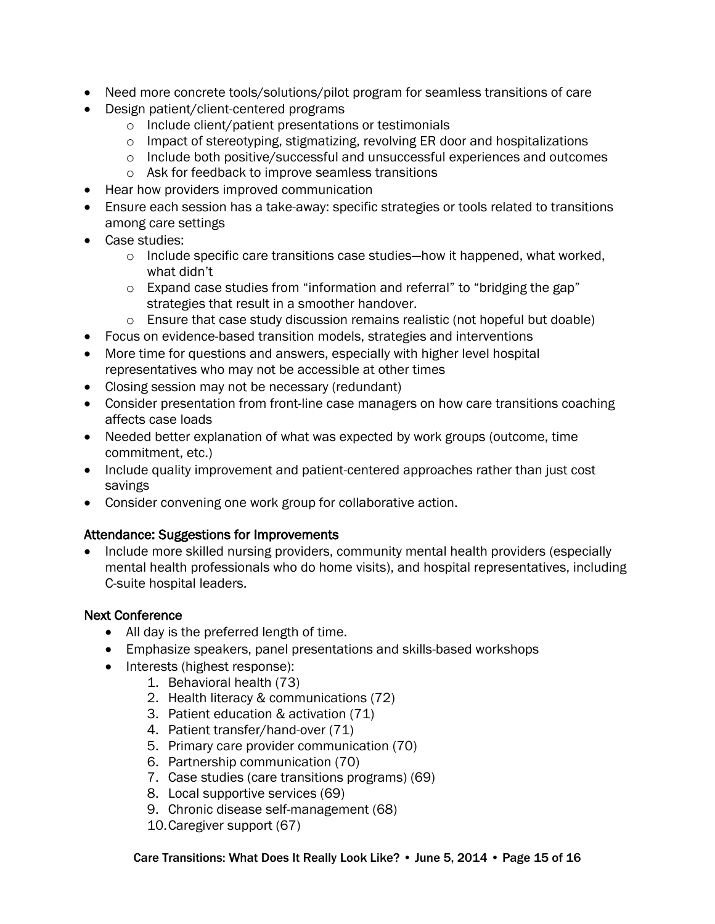- Need more concrete tools/solutions/pilot program for seamless transitions of care
- Design patient/client-centered programs
	- o Include client/patient presentations or testimonials
	- o Impact of stereotyping, stigmatizing, revolving ER door and hospitalizations
	- o Include both positive/successful and unsuccessful experiences and outcomes
	- o Ask for feedback to improve seamless transitions
- Hear how providers improved communication
- Ensure each session has a take-away: specific strategies or tools related to transitions among care settings
- Case studies:
	- o Include specific care transitions case studies—how it happened, what worked, what didn't
	- o Expand case studies from "information and referral" to "bridging the gap" strategies that result in a smoother handover.
	- $\circ$  Ensure that case study discussion remains realistic (not hopeful but doable)
- Focus on evidence-based transition models, strategies and interventions
- More time for questions and answers, especially with higher level hospital representatives who may not be accessible at other times
- Closing session may not be necessary (redundant)
- Consider presentation from front-line case managers on how care transitions coaching affects case loads
- Needed better explanation of what was expected by work groups (outcome, time commitment, etc.)
- Include quality improvement and patient-centered approaches rather than just cost savings
- Consider convening one work group for collaborative action.

## Attendance: Suggestions for Improvements

 Include more skilled nursing providers, community mental health providers (especially mental health professionals who do home visits), and hospital representatives, including C-suite hospital leaders.

#### Next Conference

- All day is the preferred length of time.
- Emphasize speakers, panel presentations and skills-based workshops
- Interests (highest response):
	- 1. Behavioral health (73)
		- 2. Health literacy & communications (72)
		- 3. Patient education & activation (71)
		- 4. Patient transfer/hand-over (71)
		- 5. Primary care provider communication (70)
		- 6. Partnership communication (70)
		- 7. Case studies (care transitions programs) (69)
		- 8. Local supportive services (69)
		- 9. Chronic disease self-management (68)
		- 10.Caregiver support (67)